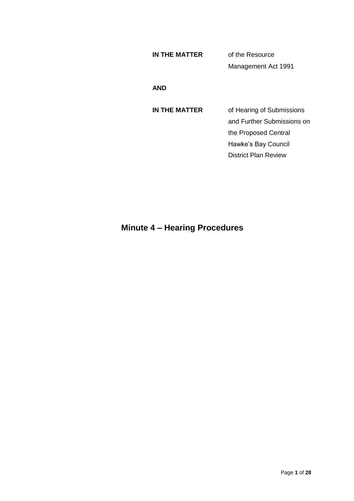# **IN THE MATTER** of the Resource Management Act 1991

#### **AND**

**IN THE MATTER** of Hearing of Submissions and Further Submissions on the Proposed Central Hawke's Bay Council District Plan Review

# **Minute 4 – Hearing Procedures**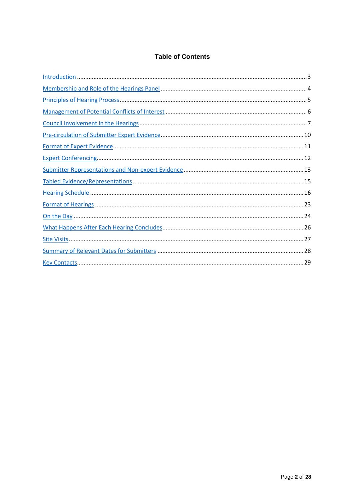# **Table of Contents**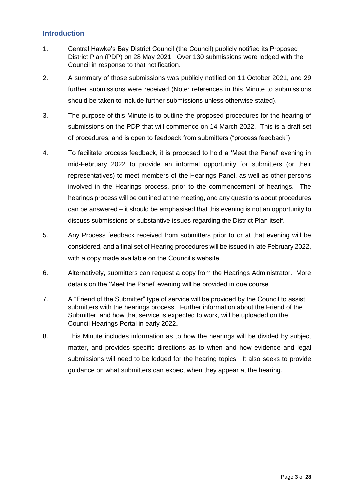# **Introduction**

- 1. Central Hawke's Bay District Council (the Council) publicly notified its Proposed District Plan (PDP) on 28 May 2021. Over 130 submissions were lodged with the Council in response to that notification.
- 2. A summary of those submissions was publicly notified on 11 October 2021, and 29 further submissions were received (Note: references in this Minute to submissions should be taken to include further submissions unless otherwise stated).
- 3. The purpose of this Minute is to outline the proposed procedures for the hearing of submissions on the PDP that will commence on 14 March 2022. This is a draft set of procedures, and is open to feedback from submitters ("process feedback")
- 4. To facilitate process feedback, it is proposed to hold a 'Meet the Panel' evening in mid-February 2022 to provide an informal opportunity for submitters (or their representatives) to meet members of the Hearings Panel, as well as other persons involved in the Hearings process, prior to the commencement of hearings. The hearings process will be outlined at the meeting, and any questions about procedures can be answered – it should be emphasised that this evening is not an opportunity to discuss submissions or substantive issues regarding the District Plan itself.
- 5. Any Process feedback received from submitters prior to or at that evening will be considered, and a final set of Hearing procedures will be issued in late February 2022, with a copy made available on the Council's website.
- 6. Alternatively, submitters can request a copy from the Hearings Administrator. More details on the 'Meet the Panel' evening will be provided in due course.
- 7. A "Friend of the Submitter" type of service will be provided by the Council to assist submitters with the hearings process. Further information about the Friend of the Submitter, and how that service is expected to work, will be uploaded on the Council Hearings Portal in early 2022.
- 8. This Minute includes information as to how the hearings will be divided by subject matter, and provides specific directions as to when and how evidence and legal submissions will need to be lodged for the hearing topics. It also seeks to provide guidance on what submitters can expect when they appear at the hearing.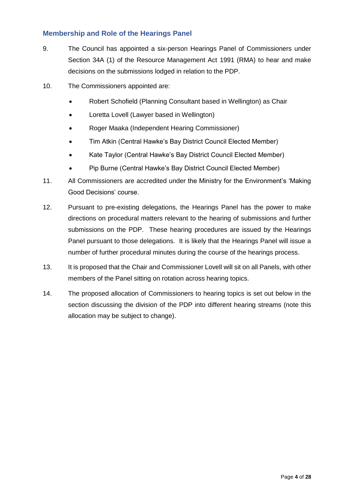# **Membership and Role of the Hearings Panel**

- 9. The Council has appointed a six-person Hearings Panel of Commissioners under Section 34A (1) of the Resource Management Act 1991 (RMA) to hear and make decisions on the submissions lodged in relation to the PDP.
- 10. The Commissioners appointed are:
	- Robert Schofield (Planning Consultant based in Wellington) as Chair
	- Loretta Lovell (Lawyer based in Wellington)
	- Roger Maaka (Independent Hearing Commissioner)
	- Tim Atkin (Central Hawke's Bay District Council Elected Member)
	- Kate Taylor (Central Hawke's Bay District Council Elected Member)
	- Pip Burne (Central Hawke's Bay District Council Elected Member)
- 11. All Commissioners are accredited under the Ministry for the Environment's 'Making Good Decisions' course.
- 12. Pursuant to pre-existing delegations, the Hearings Panel has the power to make directions on procedural matters relevant to the hearing of submissions and further submissions on the PDP. These hearing procedures are issued by the Hearings Panel pursuant to those delegations. It is likely that the Hearings Panel will issue a number of further procedural minutes during the course of the hearings process.
- 13. It is proposed that the Chair and Commissioner Lovell will sit on all Panels, with other members of the Panel sitting on rotation across hearing topics.
- 14. The proposed allocation of Commissioners to hearing topics is set out below in the section discussing the division of the PDP into different hearing streams (note this allocation may be subject to change).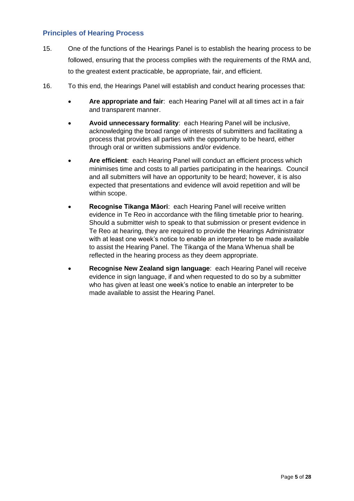# **Principles of Hearing Process**

- 15. One of the functions of the Hearings Panel is to establish the hearing process to be followed, ensuring that the process complies with the requirements of the RMA and, to the greatest extent practicable, be appropriate, fair, and efficient.
- 16. To this end, the Hearings Panel will establish and conduct hearing processes that:
	- **Are appropriate and fair**: each Hearing Panel will at all times act in a fair and transparent manner.
	- **Avoid unnecessary formality**: each Hearing Panel will be inclusive, acknowledging the broad range of interests of submitters and facilitating a process that provides all parties with the opportunity to be heard, either through oral or written submissions and/or evidence.
	- **Are efficient**: each Hearing Panel will conduct an efficient process which minimises time and costs to all parties participating in the hearings. Council and all submitters will have an opportunity to be heard; however, it is also expected that presentations and evidence will avoid repetition and will be within scope.
	- **Recognise Tikanga Māori**: each Hearing Panel will receive written evidence in Te Reo in accordance with the filing timetable prior to hearing. Should a submitter wish to speak to that submission or present evidence in Te Reo at hearing, they are required to provide the Hearings Administrator with at least one week's notice to enable an interpreter to be made available to assist the Hearing Panel. The Tikanga of the Mana Whenua shall be reflected in the hearing process as they deem appropriate.
	- **Recognise New Zealand sign language**: each Hearing Panel will receive evidence in sign language, if and when requested to do so by a submitter who has given at least one week's notice to enable an interpreter to be made available to assist the Hearing Panel.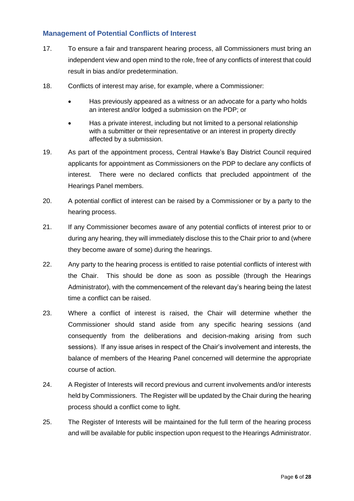# **Management of Potential Conflicts of Interest**

- 17. To ensure a fair and transparent hearing process, all Commissioners must bring an independent view and open mind to the role, free of any conflicts of interest that could result in bias and/or predetermination.
- 18. Conflicts of interest may arise, for example, where a Commissioner:
	- Has previously appeared as a witness or an advocate for a party who holds an interest and/or lodged a submission on the PDP; or
	- Has a private interest, including but not limited to a personal relationship with a submitter or their representative or an interest in property directly affected by a submission.
- 19. As part of the appointment process, Central Hawke's Bay District Council required applicants for appointment as Commissioners on the PDP to declare any conflicts of interest. There were no declared conflicts that precluded appointment of the Hearings Panel members.
- 20. A potential conflict of interest can be raised by a Commissioner or by a party to the hearing process.
- 21. If any Commissioner becomes aware of any potential conflicts of interest prior to or during any hearing, they will immediately disclose this to the Chair prior to and (where they become aware of some) during the hearings.
- 22. Any party to the hearing process is entitled to raise potential conflicts of interest with the Chair. This should be done as soon as possible (through the Hearings Administrator), with the commencement of the relevant day's hearing being the latest time a conflict can be raised.
- 23. Where a conflict of interest is raised, the Chair will determine whether the Commissioner should stand aside from any specific hearing sessions (and consequently from the deliberations and decision-making arising from such sessions). If any issue arises in respect of the Chair's involvement and interests, the balance of members of the Hearing Panel concerned will determine the appropriate course of action.
- 24. A Register of Interests will record previous and current involvements and/or interests held by Commissioners. The Register will be updated by the Chair during the hearing process should a conflict come to light.
- 25. The Register of Interests will be maintained for the full term of the hearing process and will be available for public inspection upon request to the Hearings Administrator.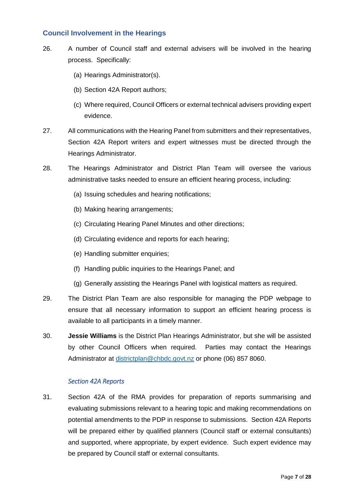#### **Council Involvement in the Hearings**

- 26. A number of Council staff and external advisers will be involved in the hearing process. Specifically:
	- (a) Hearings Administrator(s).
	- (b) Section 42A Report authors;
	- (c) Where required, Council Officers or external technical advisers providing expert evidence.
- 27. All communications with the Hearing Panel from submitters and their representatives, Section 42A Report writers and expert witnesses must be directed through the Hearings Administrator.
- 28. The Hearings Administrator and District Plan Team will oversee the various administrative tasks needed to ensure an efficient hearing process, including:
	- (a) Issuing schedules and hearing notifications;
	- (b) Making hearing arrangements;
	- (c) Circulating Hearing Panel Minutes and other directions;
	- (d) Circulating evidence and reports for each hearing;
	- (e) Handling submitter enquiries;
	- (f) Handling public inquiries to the Hearings Panel; and
	- (g) Generally assisting the Hearings Panel with logistical matters as required.
- 29. The District Plan Team are also responsible for managing the PDP webpage to ensure that all necessary information to support an efficient hearing process is available to all participants in a timely manner.
- 30. **Jessie Williams** is the District Plan Hearings Administrator, but she will be assisted by other Council Officers when required. Parties may contact the Hearings Administrator at [districtplan@chbdc.govt.nz](mailto:districtplan@chbdc.govt.nz) or phone (06) 857 8060.

#### *Section 42A Reports*

31. Section 42A of the RMA provides for preparation of reports summarising and evaluating submissions relevant to a hearing topic and making recommendations on potential amendments to the PDP in response to submissions. Section 42A Reports will be prepared either by qualified planners (Council staff or external consultants) and supported, where appropriate, by expert evidence. Such expert evidence may be prepared by Council staff or external consultants.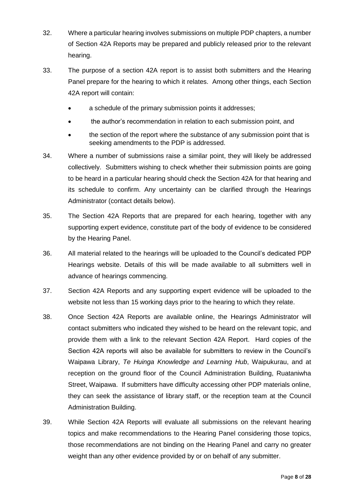- 32. Where a particular hearing involves submissions on multiple PDP chapters, a number of Section 42A Reports may be prepared and publicly released prior to the relevant hearing.
- 33. The purpose of a section 42A report is to assist both submitters and the Hearing Panel prepare for the hearing to which it relates. Among other things, each Section 42A report will contain:
	- a schedule of the primary submission points it addresses;
	- the author's recommendation in relation to each submission point, and
	- the section of the report where the substance of any submission point that is seeking amendments to the PDP is addressed.
- 34. Where a number of submissions raise a similar point, they will likely be addressed collectively. Submitters wishing to check whether their submission points are going to be heard in a particular hearing should check the Section 42A for that hearing and its schedule to confirm. Any uncertainty can be clarified through the Hearings Administrator (contact details below).
- 35. The Section 42A Reports that are prepared for each hearing, together with any supporting expert evidence, constitute part of the body of evidence to be considered by the Hearing Panel.
- 36. All material related to the hearings will be uploaded to the Council's dedicated PDP Hearings website. Details of this will be made available to all submitters well in advance of hearings commencing.
- 37. Section 42A Reports and any supporting expert evidence will be uploaded to the website not less than 15 working days prior to the hearing to which they relate.
- 38. Once Section 42A Reports are available online, the Hearings Administrator will contact submitters who indicated they wished to be heard on the relevant topic, and provide them with a link to the relevant Section 42A Report. Hard copies of the Section 42A reports will also be available for submitters to review in the Council's Waipawa Library, *Te Huinga Knowledge and Learning Hub*, Waipukurau, and at reception on the ground floor of the Council Administration Building, Ruataniwha Street, Waipawa. If submitters have difficulty accessing other PDP materials online, they can seek the assistance of library staff, or the reception team at the Council Administration Building.
- 39. While Section 42A Reports will evaluate all submissions on the relevant hearing topics and make recommendations to the Hearing Panel considering those topics, those recommendations are not binding on the Hearing Panel and carry no greater weight than any other evidence provided by or on behalf of any submitter.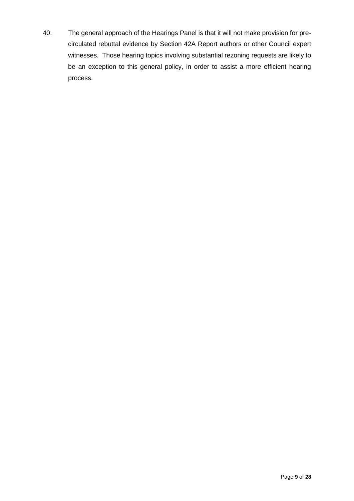40. The general approach of the Hearings Panel is that it will not make provision for precirculated rebuttal evidence by Section 42A Report authors or other Council expert witnesses. Those hearing topics involving substantial rezoning requests are likely to be an exception to this general policy, in order to assist a more efficient hearing process.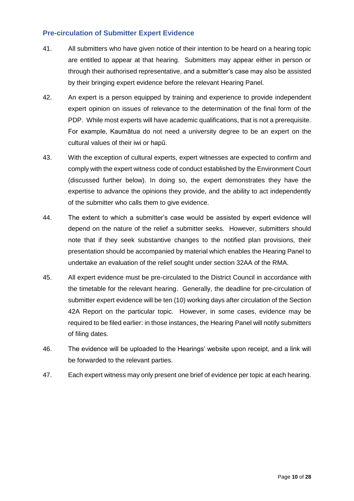# **Pre-circulation of Submitter Expert Evidence**

- 41. All submitters who have given notice of their intention to be heard on a hearing topic are entitled to appear at that hearing. Submitters may appear either in person or through their authorised representative, and a submitter's case may also be assisted by their bringing expert evidence before the relevant Hearing Panel.
- 42. An expert is a person equipped by training and experience to provide independent expert opinion on issues of relevance to the determination of the final form of the PDP. While most experts will have academic qualifications, that is not a prerequisite. For example, Kaumātua do not need a university degree to be an expert on the cultural values of their iwi or hapū.
- 43. With the exception of cultural experts, expert witnesses are expected to confirm and comply with the expert witness code of conduct established by the Environment Court (discussed further below). In doing so, the expert demonstrates they have the expertise to advance the opinions they provide, and the ability to act independently of the submitter who calls them to give evidence.
- 44. The extent to which a submitter's case would be assisted by expert evidence will depend on the nature of the relief a submitter seeks. However, submitters should note that if they seek substantive changes to the notified plan provisions, their presentation should be accompanied by material which enables the Hearing Panel to undertake an evaluation of the relief sought under section 32AA of the RMA.
- 45. All expert evidence must be pre-circulated to the District Council in accordance with the timetable for the relevant hearing. Generally, the deadline for pre-circulation of submitter expert evidence will be ten (10) working days after circulation of the Section 42A Report on the particular topic. However, in some cases, evidence may be required to be filed earlier: in those instances, the Hearing Panel will notify submitters of filing dates.
- 46. The evidence will be uploaded to the Hearings' website upon receipt, and a link will be forwarded to the relevant parties.
- 47. Each expert witness may only present one brief of evidence per topic at each hearing.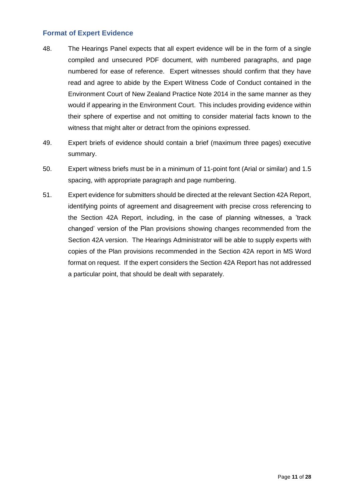# **Format of Expert Evidence**

- 48. The Hearings Panel expects that all expert evidence will be in the form of a single compiled and unsecured PDF document, with numbered paragraphs, and page numbered for ease of reference. Expert witnesses should confirm that they have read and agree to abide by the Expert Witness Code of Conduct contained in the Environment Court of New Zealand Practice Note 2014 in the same manner as they would if appearing in the Environment Court. This includes providing evidence within their sphere of expertise and not omitting to consider material facts known to the witness that might alter or detract from the opinions expressed.
- 49. Expert briefs of evidence should contain a brief (maximum three pages) executive summary.
- 50. Expert witness briefs must be in a minimum of 11-point font (Arial or similar) and 1.5 spacing, with appropriate paragraph and page numbering.
- 51. Expert evidence for submitters should be directed at the relevant Section 42A Report, identifying points of agreement and disagreement with precise cross referencing to the Section 42A Report, including, in the case of planning witnesses, a 'track changed' version of the Plan provisions showing changes recommended from the Section 42A version. The Hearings Administrator will be able to supply experts with copies of the Plan provisions recommended in the Section 42A report in MS Word format on request. If the expert considers the Section 42A Report has not addressed a particular point, that should be dealt with separately.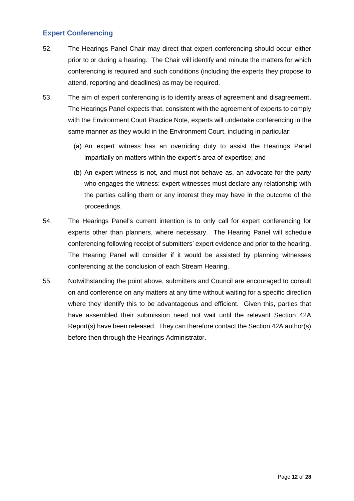# **Expert Conferencing**

- 52. The Hearings Panel Chair may direct that expert conferencing should occur either prior to or during a hearing. The Chair will identify and minute the matters for which conferencing is required and such conditions (including the experts they propose to attend, reporting and deadlines) as may be required.
- 53. The aim of expert conferencing is to identify areas of agreement and disagreement. The Hearings Panel expects that, consistent with the agreement of experts to comply with the Environment Court Practice Note, experts will undertake conferencing in the same manner as they would in the Environment Court, including in particular:
	- (a) An expert witness has an overriding duty to assist the Hearings Panel impartially on matters within the expert's area of expertise; and
	- (b) An expert witness is not, and must not behave as, an advocate for the party who engages the witness: expert witnesses must declare any relationship with the parties calling them or any interest they may have in the outcome of the proceedings.
- 54. The Hearings Panel's current intention is to only call for expert conferencing for experts other than planners, where necessary. The Hearing Panel will schedule conferencing following receipt of submitters' expert evidence and prior to the hearing. The Hearing Panel will consider if it would be assisted by planning witnesses conferencing at the conclusion of each Stream Hearing.
- 55. Notwithstanding the point above, submitters and Council are encouraged to consult on and conference on any matters at any time without waiting for a specific direction where they identify this to be advantageous and efficient. Given this, parties that have assembled their submission need not wait until the relevant Section 42A Report(s) have been released. They can therefore contact the Section 42A author(s) before then through the Hearings Administrator.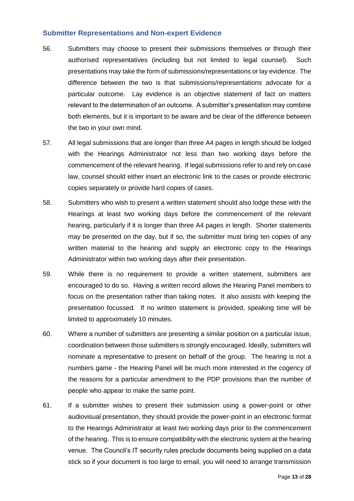#### **Submitter Representations and Non-expert Evidence**

- 56. Submitters may choose to present their submissions themselves or through their authorised representatives (including but not limited to legal counsel). Such presentations may take the form of submissions/representations or lay evidence. The difference between the two is that submissions/representations advocate for a particular outcome. Lay evidence is an objective statement of fact on matters relevant to the determination of an outcome. A submitter's presentation may combine both elements, but it is important to be aware and be clear of the difference between the two in your own mind.
- 57. All legal submissions that are longer than three A4 pages in length should be lodged with the Hearings Administrator not less than two working days before the commencement of the relevant hearing. If legal submissions refer to and rely on case law, counsel should either insert an electronic link to the cases or provide electronic copies separately or provide hard copies of cases.
- 58. Submitters who wish to present a written statement should also lodge these with the Hearings at least two working days before the commencement of the relevant hearing, particularly if it is longer than three A4 pages in length. Shorter statements may be presented on the day, but if so, the submitter must bring ten copies of any written material to the hearing and supply an electronic copy to the Hearings Administrator within two working days after their presentation.
- 59. While there is no requirement to provide a written statement, submitters are encouraged to do so. Having a written record allows the Hearing Panel members to focus on the presentation rather than taking notes. It also assists with keeping the presentation focussed. If no written statement is provided, speaking time will be limited to approximately 10 minutes.
- 60. Where a number of submitters are presenting a similar position on a particular issue, coordination between those submitters is strongly encouraged. Ideally, submitters will nominate a representative to present on behalf of the group. The hearing is not a numbers game - the Hearing Panel will be much more interested in the cogency of the reasons for a particular amendment to the PDP provisions than the number of people who appear to make the same point.
- 61. If a submitter wishes to present their submission using a power-point or other audiovisual presentation, they should provide the power-point in an electronic format to the Hearings Administrator at least two working days prior to the commencement of the hearing. This is to ensure compatibility with the electronic system at the hearing venue. The Council's IT security rules preclude documents being supplied on a data stick so if your document is too large to email, you will need to arrange transmission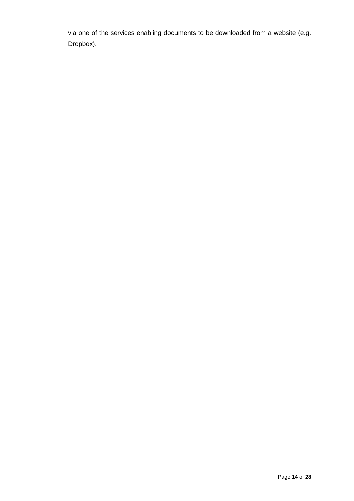via one of the services enabling documents to be downloaded from a website (e.g. Dropbox).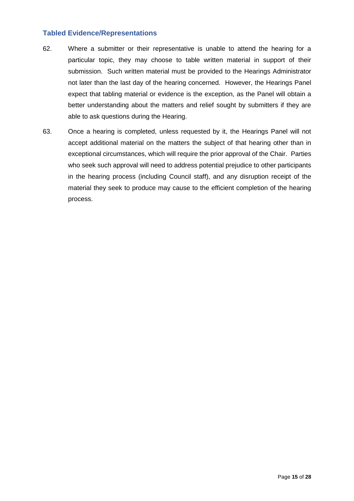#### **Tabled Evidence/Representations**

- 62. Where a submitter or their representative is unable to attend the hearing for a particular topic, they may choose to table written material in support of their submission. Such written material must be provided to the Hearings Administrator not later than the last day of the hearing concerned. However, the Hearings Panel expect that tabling material or evidence is the exception, as the Panel will obtain a better understanding about the matters and relief sought by submitters if they are able to ask questions during the Hearing.
- 63. Once a hearing is completed, unless requested by it, the Hearings Panel will not accept additional material on the matters the subject of that hearing other than in exceptional circumstances, which will require the prior approval of the Chair. Parties who seek such approval will need to address potential prejudice to other participants in the hearing process (including Council staff), and any disruption receipt of the material they seek to produce may cause to the efficient completion of the hearing process.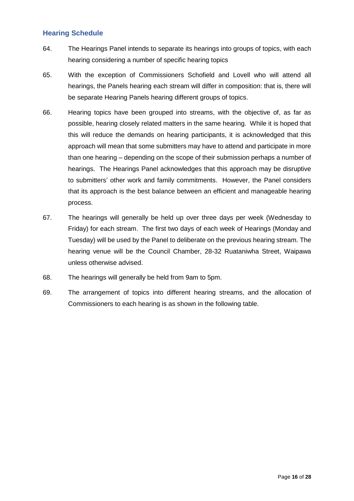# **Hearing Schedule**

- 64. The Hearings Panel intends to separate its hearings into groups of topics, with each hearing considering a number of specific hearing topics
- 65. With the exception of Commissioners Schofield and Lovell who will attend all hearings, the Panels hearing each stream will differ in composition: that is, there will be separate Hearing Panels hearing different groups of topics.
- 66. Hearing topics have been grouped into streams, with the objective of, as far as possible, hearing closely related matters in the same hearing. While it is hoped that this will reduce the demands on hearing participants, it is acknowledged that this approach will mean that some submitters may have to attend and participate in more than one hearing – depending on the scope of their submission perhaps a number of hearings. The Hearings Panel acknowledges that this approach may be disruptive to submitters' other work and family commitments. However, the Panel considers that its approach is the best balance between an efficient and manageable hearing process.
- 67. The hearings will generally be held up over three days per week (Wednesday to Friday) for each stream. The first two days of each week of Hearings (Monday and Tuesday) will be used by the Panel to deliberate on the previous hearing stream. The hearing venue will be the Council Chamber, 28-32 Ruataniwha Street, Waipawa unless otherwise advised.
- 68. The hearings will generally be held from 9am to 5pm.
- 69. The arrangement of topics into different hearing streams, and the allocation of Commissioners to each hearing is as shown in the following table.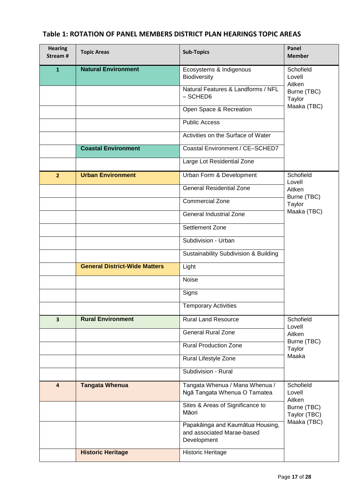| <b>Hearing</b><br>Stream # | <b>Topic Areas</b>                   | <b>Sub-Topics</b>                                                             | Panel<br><b>Member</b>        |
|----------------------------|--------------------------------------|-------------------------------------------------------------------------------|-------------------------------|
| $\mathbf{1}$               | <b>Natural Environment</b>           | Ecosystems & Indigenous<br>Biodiversity                                       | Schofield<br>Lovell<br>Aitken |
|                            |                                      | Natural Features & Landforms / NFL<br>$-$ SCHED6                              | Burne (TBC)<br>Taylor         |
|                            |                                      | Open Space & Recreation                                                       | Maaka (TBC)                   |
|                            |                                      | <b>Public Access</b>                                                          |                               |
|                            |                                      | Activities on the Surface of Water                                            |                               |
|                            | <b>Coastal Environment</b>           | Coastal Environment / CE-SCHED7                                               |                               |
|                            |                                      | Large Lot Residential Zone                                                    |                               |
| $\overline{2}$             | <b>Urban Environment</b>             | Urban Form & Development                                                      | Schofield<br>Lovell           |
|                            |                                      | <b>General Residential Zone</b>                                               | Aitken                        |
|                            |                                      | <b>Commercial Zone</b>                                                        | Burne (TBC)<br>Taylor         |
|                            |                                      | General Industrial Zone                                                       | Maaka (TBC)                   |
|                            |                                      | Settlement Zone                                                               |                               |
|                            |                                      | Subdivision - Urban                                                           |                               |
|                            |                                      | Sustainability Subdivision & Building                                         |                               |
|                            | <b>General District-Wide Matters</b> | Light                                                                         |                               |
|                            |                                      | <b>Noise</b>                                                                  |                               |
|                            |                                      | Signs                                                                         |                               |
|                            |                                      | <b>Temporary Activities</b>                                                   |                               |
| $\overline{\mathbf{3}}$    | <b>Rural Environment</b>             | <b>Rural Land Resource</b>                                                    | Schofield<br>Lovell           |
|                            |                                      | <b>General Rural Zone</b>                                                     | Aitken                        |
|                            |                                      | <b>Rural Production Zone</b>                                                  | Burne (TBC)<br>Taylor         |
|                            |                                      | Rural Lifestyle Zone                                                          | Maaka                         |
|                            |                                      | Subdivision - Rural                                                           |                               |
| $\overline{4}$             | <b>Tangata Whenua</b>                | Tangata Whenua / Mana Whenua /<br>Ngā Tangata Whenua O Tamatea                | Schofield<br>Lovell<br>Aitken |
|                            |                                      | Sites & Areas of Significance to<br>Māori                                     | Burne (TBC)<br>Taylor (TBC)   |
|                            |                                      | Papakāinga and Kaumātua Housing,<br>and associated Marae-based<br>Development | Maaka (TBC)                   |
|                            | <b>Historic Heritage</b>             | <b>Historic Heritage</b>                                                      |                               |

# **Table 1: ROTATION OF PANEL MEMBERS DISTRICT PLAN HEARINGS TOPIC AREAS**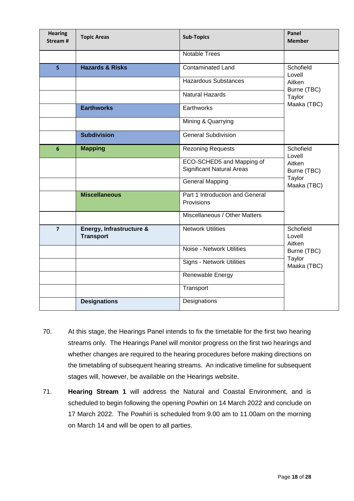| <b>Hearing</b><br>Stream# | <b>Topic Areas</b>                           | <b>Sub-Topics</b>                                             | Panel<br><b>Member</b>               |
|---------------------------|----------------------------------------------|---------------------------------------------------------------|--------------------------------------|
|                           |                                              | <b>Notable Trees</b>                                          |                                      |
| 5                         | <b>Hazards &amp; Risks</b>                   | <b>Contaminated Land</b>                                      | Schofield<br>Lovell                  |
|                           |                                              | <b>Hazardous Substances</b>                                   | Aitken<br>Burne (TBC)                |
|                           |                                              | <b>Natural Hazards</b>                                        | Taylor                               |
|                           | <b>Earthworks</b>                            | Earthworks                                                    | Maaka (TBC)                          |
|                           |                                              | Mining & Quarrying                                            |                                      |
|                           | <b>Subdivision</b>                           | <b>General Subdivision</b>                                    |                                      |
| 6                         | <b>Mapping</b>                               | <b>Rezoning Requests</b>                                      | Schofield<br>Lovell                  |
|                           |                                              | ECO-SCHED5 and Mapping of<br><b>Significant Natural Areas</b> | Aitken<br>Burne (TBC)                |
|                           |                                              | <b>General Mapping</b>                                        | Taylor<br>Maaka (TBC)                |
|                           | <b>Miscellaneous</b>                         | Part 1 Introduction and General<br>Provisions                 |                                      |
|                           |                                              | Miscellaneous / Other Matters                                 |                                      |
| $\overline{7}$            | Energy, Infrastructure &<br><b>Transport</b> | <b>Network Utilities</b>                                      | Schofield<br>Lovell<br>Aitken        |
|                           |                                              | Noise - Network Utilities                                     | Burne (TBC)<br>Taylor<br>Maaka (TBC) |
|                           |                                              | Signs - Network Utilities                                     |                                      |
|                           |                                              | Renewable Energy                                              |                                      |
|                           |                                              | Transport                                                     |                                      |
|                           | <b>Designations</b>                          | Designations                                                  |                                      |

- 70. At this stage, the Hearings Panel intends to fix the timetable for the first two hearing streams only. The Hearings Panel will monitor progress on the first two hearings and whether changes are required to the hearing procedures before making directions on the timetabling of subsequent hearing streams. An indicative timeline for subsequent stages will, however, be available on the Hearings website.
- 71. **Hearing Stream 1** will address the Natural and Coastal Environment, and is scheduled to begin following the opening Powhiri on 14 March 2022 and conclude on 17 March 2022. The Powhiri is scheduled from 9.00 am to 11.00am on the morning on March 14 and will be open to all parties.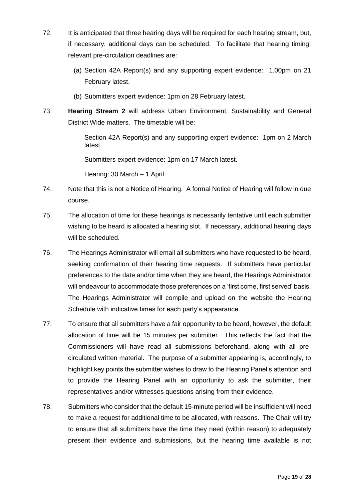- 72. It is anticipated that three hearing days will be required for each hearing stream, but, if necessary, additional days can be scheduled. To facilitate that hearing timing, relevant pre-circulation deadlines are:
	- (a) Section 42A Report(s) and any supporting expert evidence: 1.00pm on 21 February latest.
	- (b) Submitters expert evidence: 1pm on 28 February latest.
- 73. **Hearing Stream 2** will address Urban Environment, Sustainability and General District Wide matters. The timetable will be:

Section 42A Report(s) and any supporting expert evidence: 1pm on 2 March latest.

Submitters expert evidence: 1pm on 17 March latest.

Hearing: 30 March – 1 April

- 74. Note that this is not a Notice of Hearing. A formal Notice of Hearing will follow in due course.
- 75. The allocation of time for these hearings is necessarily tentative until each submitter wishing to be heard is allocated a hearing slot. If necessary, additional hearing days will be scheduled.
- 76. The Hearings Administrator will email all submitters who have requested to be heard, seeking confirmation of their hearing time requests. If submitters have particular preferences to the date and/or time when they are heard, the Hearings Administrator will endeavour to accommodate those preferences on a 'first come, first served' basis. The Hearings Administrator will compile and upload on the website the Hearing Schedule with indicative times for each party's appearance.
- 77. To ensure that all submitters have a fair opportunity to be heard, however, the default allocation of time will be 15 minutes per submitter. This reflects the fact that the Commissioners will have read all submissions beforehand, along with all precirculated written material. The purpose of a submitter appearing is, accordingly, to highlight key points the submitter wishes to draw to the Hearing Panel's attention and to provide the Hearing Panel with an opportunity to ask the submitter, their representatives and/or witnesses questions arising from their evidence.
- 78. Submitters who consider that the default 15-minute period will be insufficient will need to make a request for additional time to be allocated, with reasons. The Chair will try to ensure that all submitters have the time they need (within reason) to adequately present their evidence and submissions, but the hearing time available is not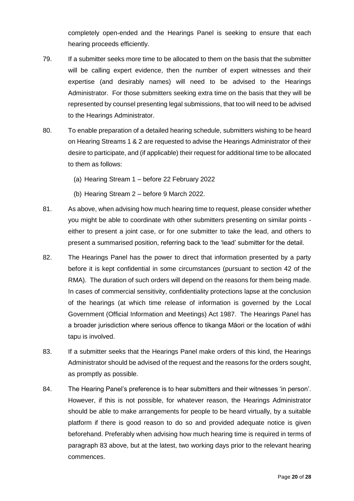completely open-ended and the Hearings Panel is seeking to ensure that each hearing proceeds efficiently.

- 79. If a submitter seeks more time to be allocated to them on the basis that the submitter will be calling expert evidence, then the number of expert witnesses and their expertise (and desirably names) will need to be advised to the Hearings Administrator. For those submitters seeking extra time on the basis that they will be represented by counsel presenting legal submissions, that too will need to be advised to the Hearings Administrator.
- 80. To enable preparation of a detailed hearing schedule, submitters wishing to be heard on Hearing Streams 1 & 2 are requested to advise the Hearings Administrator of their desire to participate, and (if applicable) their request for additional time to be allocated to them as follows:
	- (a) Hearing Stream 1 before 22 February 2022
	- (b) Hearing Stream 2 before 9 March 2022.
- 81. As above, when advising how much hearing time to request, please consider whether you might be able to coordinate with other submitters presenting on similar points either to present a joint case, or for one submitter to take the lead, and others to present a summarised position, referring back to the 'lead' submitter for the detail.
- 82. The Hearings Panel has the power to direct that information presented by a party before it is kept confidential in some circumstances (pursuant to section 42 of the RMA). The duration of such orders will depend on the reasons for them being made. In cases of commercial sensitivity, confidentiality protections lapse at the conclusion of the hearings (at which time release of information is governed by the Local Government (Official Information and Meetings) Act 1987. The Hearings Panel has a broader jurisdiction where serious offence to tikanga Māori or the location of wāhi tapu is involved.
- 83. If a submitter seeks that the Hearings Panel make orders of this kind, the Hearings Administrator should be advised of the request and the reasons for the orders sought, as promptly as possible.
- 84. The Hearing Panel's preference is to hear submitters and their witnesses 'in person'. However, if this is not possible, for whatever reason, the Hearings Administrator should be able to make arrangements for people to be heard virtually, by a suitable platform if there is good reason to do so and provided adequate notice is given beforehand. Preferably when advising how much hearing time is required in terms of paragraph 83 above, but at the latest, two working days prior to the relevant hearing commences.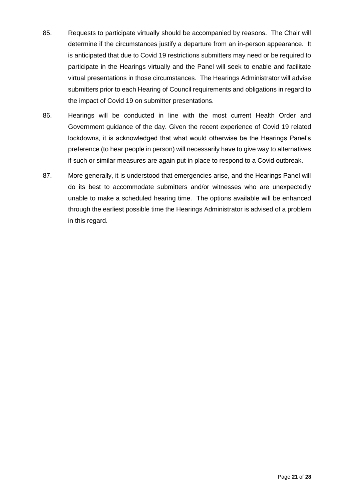- 85. Requests to participate virtually should be accompanied by reasons. The Chair will determine if the circumstances justify a departure from an in-person appearance. It is anticipated that due to Covid 19 restrictions submitters may need or be required to participate in the Hearings virtually and the Panel will seek to enable and facilitate virtual presentations in those circumstances. The Hearings Administrator will advise submitters prior to each Hearing of Council requirements and obligations in regard to the impact of Covid 19 on submitter presentations.
- 86. Hearings will be conducted in line with the most current Health Order and Government guidance of the day. Given the recent experience of Covid 19 related lockdowns, it is acknowledged that what would otherwise be the Hearings Panel's preference (to hear people in person) will necessarily have to give way to alternatives if such or similar measures are again put in place to respond to a Covid outbreak.
- 87. More generally, it is understood that emergencies arise, and the Hearings Panel will do its best to accommodate submitters and/or witnesses who are unexpectedly unable to make a scheduled hearing time. The options available will be enhanced through the earliest possible time the Hearings Administrator is advised of a problem in this regard.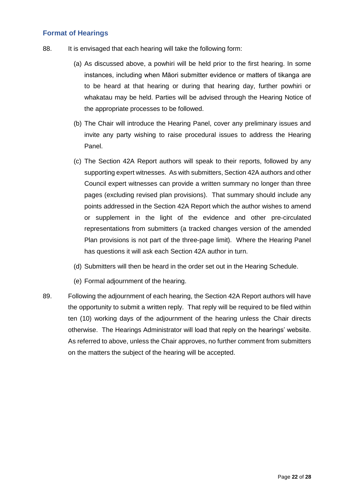#### **Format of Hearings**

- 88. It is envisaged that each hearing will take the following form:
	- (a) As discussed above, a powhiri will be held prior to the first hearing. In some instances, including when Māori submitter evidence or matters of tikanga are to be heard at that hearing or during that hearing day, further powhiri or whakatau may be held. Parties will be advised through the Hearing Notice of the appropriate processes to be followed.
	- (b) The Chair will introduce the Hearing Panel, cover any preliminary issues and invite any party wishing to raise procedural issues to address the Hearing Panel.
	- (c) The Section 42A Report authors will speak to their reports, followed by any supporting expert witnesses. As with submitters, Section 42A authors and other Council expert witnesses can provide a written summary no longer than three pages (excluding revised plan provisions). That summary should include any points addressed in the Section 42A Report which the author wishes to amend or supplement in the light of the evidence and other pre-circulated representations from submitters (a tracked changes version of the amended Plan provisions is not part of the three-page limit). Where the Hearing Panel has questions it will ask each Section 42A author in turn.
	- (d) Submitters will then be heard in the order set out in the Hearing Schedule.
	- (e) Formal adjournment of the hearing.
- 89. Following the adjournment of each hearing, the Section 42A Report authors will have the opportunity to submit a written reply. That reply will be required to be filed within ten (10) working days of the adjournment of the hearing unless the Chair directs otherwise. The Hearings Administrator will load that reply on the hearings' website. As referred to above, unless the Chair approves, no further comment from submitters on the matters the subject of the hearing will be accepted.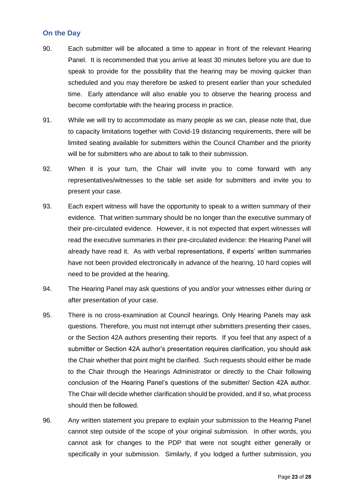## **On the Day**

- 90. Each submitter will be allocated a time to appear in front of the relevant Hearing Panel. It is recommended that you arrive at least 30 minutes before you are due to speak to provide for the possibility that the hearing may be moving quicker than scheduled and you may therefore be asked to present earlier than your scheduled time. Early attendance will also enable you to observe the hearing process and become comfortable with the hearing process in practice.
- 91. While we will try to accommodate as many people as we can, please note that, due to capacity limitations together with Covid-19 distancing requirements, there will be limited seating available for submitters within the Council Chamber and the priority will be for submitters who are about to talk to their submission.
- 92. When it is your turn, the Chair will invite you to come forward with any representatives/witnesses to the table set aside for submitters and invite you to present your case.
- 93. Each expert witness will have the opportunity to speak to a written summary of their evidence. That written summary should be no longer than the executive summary of their pre-circulated evidence. However, it is not expected that expert witnesses will read the executive summaries in their pre-circulated evidence: the Hearing Panel will already have read it. As with verbal representations, if experts' written summaries have not been provided electronically in advance of the hearing, 10 hard copies will need to be provided at the hearing.
- 94. The Hearing Panel may ask questions of you and/or your witnesses either during or after presentation of your case.
- 95. There is no cross-examination at Council hearings. Only Hearing Panels may ask questions. Therefore, you must not interrupt other submitters presenting their cases, or the Section 42A authors presenting their reports. If you feel that any aspect of a submitter or Section 42A author's presentation requires clarification, you should ask the Chair whether that point might be clarified. Such requests should either be made to the Chair through the Hearings Administrator or directly to the Chair following conclusion of the Hearing Panel's questions of the submitter/ Section 42A author. The Chair will decide whether clarification should be provided, and if so, what process should then be followed.
- 96. Any written statement you prepare to explain your submission to the Hearing Panel cannot step outside of the scope of your original submission. In other words, you cannot ask for changes to the PDP that were not sought either generally or specifically in your submission. Similarly, if you lodged a further submission, you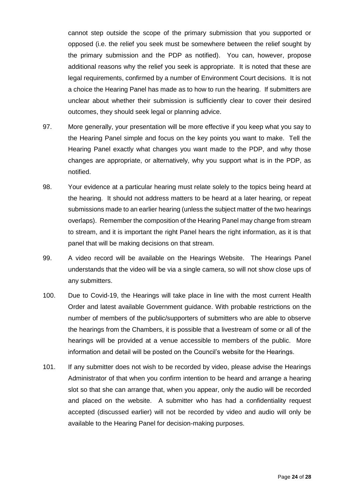cannot step outside the scope of the primary submission that you supported or opposed (i.e. the relief you seek must be somewhere between the relief sought by the primary submission and the PDP as notified). You can, however, propose additional reasons why the relief you seek is appropriate. It is noted that these are legal requirements, confirmed by a number of Environment Court decisions. It is not a choice the Hearing Panel has made as to how to run the hearing. If submitters are unclear about whether their submission is sufficiently clear to cover their desired outcomes, they should seek legal or planning advice.

- 97. More generally, your presentation will be more effective if you keep what you say to the Hearing Panel simple and focus on the key points you want to make. Tell the Hearing Panel exactly what changes you want made to the PDP, and why those changes are appropriate, or alternatively, why you support what is in the PDP, as notified.
- 98. Your evidence at a particular hearing must relate solely to the topics being heard at the hearing. It should not address matters to be heard at a later hearing, or repeat submissions made to an earlier hearing (unless the subject matter of the two hearings overlaps). Remember the composition of the Hearing Panel may change from stream to stream, and it is important the right Panel hears the right information, as it is that panel that will be making decisions on that stream.
- 99. A video record will be available on the Hearings Website. The Hearings Panel understands that the video will be via a single camera, so will not show close ups of any submitters.
- 100. Due to Covid-19, the Hearings will take place in line with the most current Health Order and latest available Government guidance. With probable restrictions on the number of members of the public/supporters of submitters who are able to observe the hearings from the Chambers, it is possible that a livestream of some or all of the hearings will be provided at a venue accessible to members of the public. More information and detail will be posted on the Council's website for the Hearings.
- 101. If any submitter does not wish to be recorded by video, please advise the Hearings Administrator of that when you confirm intention to be heard and arrange a hearing slot so that she can arrange that, when you appear, only the audio will be recorded and placed on the website. A submitter who has had a confidentiality request accepted (discussed earlier) will not be recorded by video and audio will only be available to the Hearing Panel for decision-making purposes.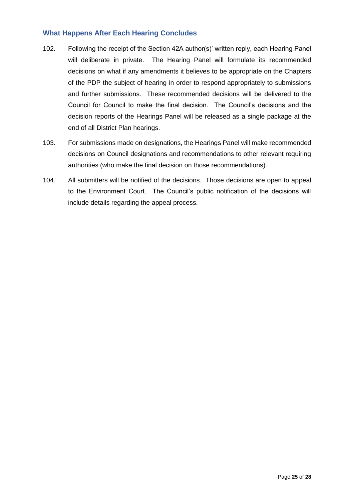#### **What Happens After Each Hearing Concludes**

- 102. Following the receipt of the Section 42A author(s)' written reply, each Hearing Panel will deliberate in private. The Hearing Panel will formulate its recommended decisions on what if any amendments it believes to be appropriate on the Chapters of the PDP the subject of hearing in order to respond appropriately to submissions and further submissions. These recommended decisions will be delivered to the Council for Council to make the final decision. The Council's decisions and the decision reports of the Hearings Panel will be released as a single package at the end of all District Plan hearings.
- 103. For submissions made on designations, the Hearings Panel will make recommended decisions on Council designations and recommendations to other relevant requiring authorities (who make the final decision on those recommendations).
- 104. All submitters will be notified of the decisions. Those decisions are open to appeal to the Environment Court. The Council's public notification of the decisions will include details regarding the appeal process.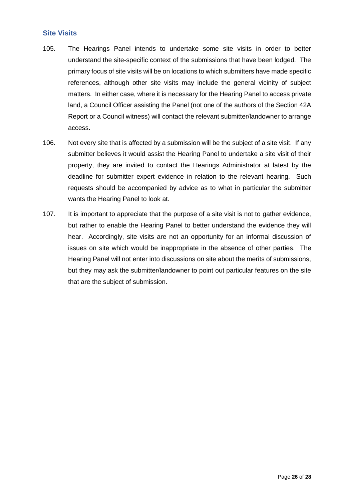#### **Site Visits**

- 105. The Hearings Panel intends to undertake some site visits in order to better understand the site-specific context of the submissions that have been lodged. The primary focus of site visits will be on locations to which submitters have made specific references, although other site visits may include the general vicinity of subject matters. In either case, where it is necessary for the Hearing Panel to access private land, a Council Officer assisting the Panel (not one of the authors of the Section 42A Report or a Council witness) will contact the relevant submitter/landowner to arrange access.
- 106. Not every site that is affected by a submission will be the subject of a site visit. If any submitter believes it would assist the Hearing Panel to undertake a site visit of their property, they are invited to contact the Hearings Administrator at latest by the deadline for submitter expert evidence in relation to the relevant hearing. Such requests should be accompanied by advice as to what in particular the submitter wants the Hearing Panel to look at.
- 107. It is important to appreciate that the purpose of a site visit is not to gather evidence, but rather to enable the Hearing Panel to better understand the evidence they will hear. Accordingly, site visits are not an opportunity for an informal discussion of issues on site which would be inappropriate in the absence of other parties. The Hearing Panel will not enter into discussions on site about the merits of submissions, but they may ask the submitter/landowner to point out particular features on the site that are the subject of submission.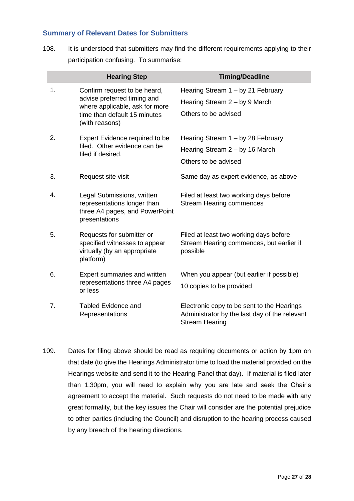#### **Summary of Relevant Dates for Submitters**

108. It is understood that submitters may find the different requirements applying to their participation confusing. To summarise:

|    | <b>Hearing Step</b>                                                                                                                             | <b>Timing/Deadline</b>                                                                                               |
|----|-------------------------------------------------------------------------------------------------------------------------------------------------|----------------------------------------------------------------------------------------------------------------------|
| 1. | Confirm request to be heard,<br>advise preferred timing and<br>where applicable, ask for more<br>time than default 15 minutes<br>(with reasons) | Hearing Stream 1 - by 21 February<br>Hearing Stream $2 - by 9$ March<br>Others to be advised                         |
| 2. | Expert Evidence required to be<br>filed. Other evidence can be<br>filed if desired.                                                             | Hearing Stream 1 - by 28 February<br>Hearing Stream 2 – by 16 March<br>Others to be advised                          |
| 3. | Request site visit                                                                                                                              | Same day as expert evidence, as above                                                                                |
| 4. | Legal Submissions, written<br>representations longer than<br>three A4 pages, and PowerPoint<br>presentations                                    | Filed at least two working days before<br><b>Stream Hearing commences</b>                                            |
| 5. | Requests for submitter or<br>specified witnesses to appear<br>virtually (by an appropriate<br>platform)                                         | Filed at least two working days before<br>Stream Hearing commences, but earlier if<br>possible                       |
| 6. | Expert summaries and written<br>representations three A4 pages<br>or less                                                                       | When you appear (but earlier if possible)<br>10 copies to be provided                                                |
| 7. | Tabled Evidence and<br>Representations                                                                                                          | Electronic copy to be sent to the Hearings<br>Administrator by the last day of the relevant<br><b>Stream Hearing</b> |

109. Dates for filing above should be read as requiring documents or action by 1pm on that date (to give the Hearings Administrator time to load the material provided on the Hearings website and send it to the Hearing Panel that day). If material is filed later than 1.30pm, you will need to explain why you are late and seek the Chair's agreement to accept the material. Such requests do not need to be made with any great formality, but the key issues the Chair will consider are the potential prejudice to other parties (including the Council) and disruption to the hearing process caused by any breach of the hearing directions.